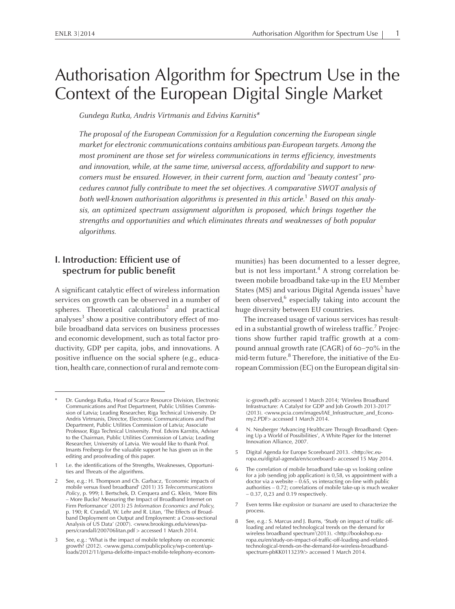# Authorisation Algorithm for Spectrum Use in the Context of the European Digital Single Market

Gundega Rutka, Andris Virtmanis and Edvins Karnitis\*

The proposal of the European Commission for <sup>a</sup> Regulation concerning the European single market for electronic communications contains ambitious pan-European targets. Among the most prominent are those set for wireless communications in terms efficiency, investments and innovation, while, at the same time, universal access, affordability and suppor<sup>t</sup> to newcomers must be ensured. However, in their current form, auction and "beauty contest" procedures cannot fully contribute to meet the set objectives. Acomparative SWOT analysis of both well-known authorisation algorithms is presented in this article. $^{\rm 1}$  Based on this analysis, an optimized spectrum assignment algorithm is proposed, which brings together the strengths and opportunities and which eliminates threats and weaknesses of both popular algorithms.

# **I. Introduction: Efficient use of spectrum for public benefit**

<sup>A</sup> significant catalytic effect of wireless information services on growth can be observed in <sup>a</sup> number of spheres. Theoretical calculations<sup>2</sup> and practical analyses $^3$  show a positive contributory effect of mobile broadband data services on business processes and economic development, such as total factor productivity, GDP per capita, jobs, and innovations. <sup>A</sup> positive influence on the social sphere (e.g., education, health care, connection of rural and remote communities) has been documented to <sup>a</sup> lesser degree, but is not less important. 4 <sup>A</sup> strong correlation between mobile broadband take-up in the EU Member States (MS) and various Digital Agenda issues 5 have been observed,<sup>6</sup> especially taking into account the huge diversity between EU countries.

The increased usage of various services has resulted in a substantial growth of wireless traffic.<sup>7</sup> Projections show further rapid traffic growth at <sup>a</sup> compound annual growth rate (CAGR) of 60–70% in the mid-term future. 8 Therefore, the initiative of the European Commission (EC) on the European digital sin-

ic-growth.pdf> accessed <sup>1</sup> March 2014; 'Wireless Broadband Infrastructure: <sup>A</sup> Catalyst for GDP and Job Growth 2013-2017' (2013). <www.pcia.com/images/IAE\_Infrastructure\_and\_Economy2.PDF> accessed <sup>1</sup> March 2014.

- <sup>4</sup> N. Neuberger 'Advancing Healthcare Through Broadband: Opening Up <sup>a</sup> World of Possibilities', <sup>A</sup> White Paper for the Internet Innovation Alliance, 2007.
- <sup>5</sup> Digital Agenda for Europe Scoreboard 2013. <http://ec.europa.eu/digital-agenda/en/scoreboard> accessed <sup>15</sup> May 2014.
- The correlation of mobile broadband take-up vs looking online for <sup>a</sup> job (sending job application) is 0,58, vs appointment with <sup>a</sup> doctor via <sup>a</sup> website – 0.65, vs interacting on-line with public authorities – 0.72; correlations of mobile take-up is much weaker – 0.37, 0,23 and 0.19 respectively.
- <sup>7</sup> Even terms like *explosion* or *tsunami* are used to characterize the process.
- <sup>8</sup> See, e.g.: S. Marcus and J. Burns, 'Study on impact of traffic offloading and related technological trends on the demand for wireless broadband spectrum'(2013). <http://bookshop.europa.eu/en/study-on-impact-of-traffic-off-loading-and-relatedtechnological-trends-on-the-demand-for-wireless-broadbandspectrum-pbKK0113239/> accessed <sup>1</sup> March 2014.

Dr. Gundega Rutka, Head of Scarce Resource Division, Electronic Communications and Post Department, Public Utilities Commission of Latvia; Leading Researcher, Riga Technical University. Dr Andris Virtmanis, Director, Electronic Communications and Post Department, Public Utilities Commission of Latvia; Associate Professor, Riga Technical University. Prof. Edvins Karnitis, Adviser to the Chairman, Public Utilities Commission of Latvia; Leading Researcher, University of Latvia. We would like to thank Prof. Imants Freibergs for the valuable suppor<sup>t</sup> he has given us in the editing and proofreading of this paper.

<sup>1</sup> I.e. the identifications of the Strengths, Weaknesses, Opportunities and Threats of the algorithms.

See, e.g.: H. Thompson and Ch. Garbacz, 'Economic impacts of mobile versus fixed broadband' (2011) 35 *Telecommunications Policy*, p. 999; I. Bertschek, D. Cerquera and G. Klein, 'More Bits – More Bucks? Measuring the Impact of Broadband Internet on Firm Performance' (2013) <sup>25</sup> *Information Economics and Policy,* p. 190; R. Crandall, W. Lehr and R. Litan, 'The Effects of Broadband Deployment on Output and Employment: <sup>a</sup> Cross-sectional Analysis of US Data' (2007). <www.brookings.edu/views/papers/crandall/200706litan.pdf <sup>&</sup>gt; accessed <sup>1</sup> March 2014.

See, e.g.: 'What is the impact of mobile telephony on economic growth? (2012). <www.gsma.com/publicpolicy/wp-content/uploads/2012/11/gsma-deloitte-impact-mobile-telephony-econom-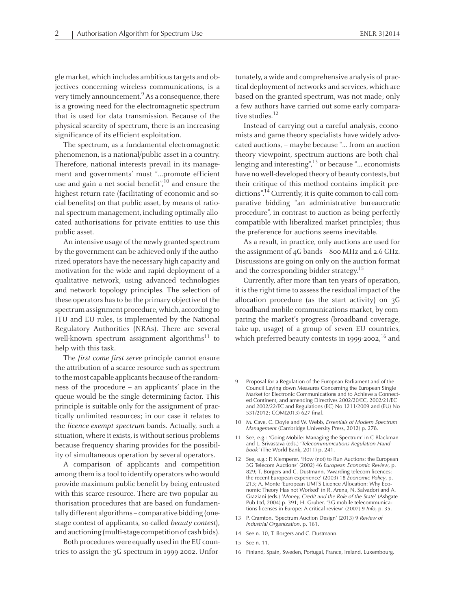glemarket, which includes ambitioustargets and objectives concerning wireless communications, is <sup>a</sup> very timely announcement. 9 As <sup>a</sup> consequence, there is <sup>a</sup> growing need for the electromagnetic spectrum that is used for data transmission. Because of the physical scarcity of spectrum, there is an increasing significance of its efficient exploitation.

The spectrum, as <sup>a</sup> fundamental electromagnetic phenomenon, is <sup>a</sup> national/public asset in <sup>a</sup> country. Therefore, national interests prevail in its management and governments' must "…promote efficient use and gain a net social benefit",<sup>10</sup> and ensure the highest return rate (facilitating of economic and social benefits) on that public asset, by means of rational spectrum management, including optimally allocated authorisations for private entities to use this public asset.

An intensive usage of the newly granted spectrum by the governmen<sup>t</sup> can be achieved only if the authorized operators have the necessary high capacity and motivation for the wide and rapid deployment of <sup>a</sup> qualitative network, using advanced technologies and network topology principles. The selection of these operators has to be the primary objective of the spectrum assignment procedure, which, according to ITU and EU rules, is implemented by the National Regulatory Authorities (NRAs). There are several well-known spectrum assignment algorithms<sup>11</sup> to help with this task.

The *first come first serve* principle cannot ensure the attribution of <sup>a</sup> scarce resource such as spectrum to the most capable applicants because of the randomness of the procedure – an applicants' place in the queue would be the single determining factor. This principle is suitable only for the assignment of practically unlimited resources; in our case it relates to the licence-exempt spectrum bands. Actually, such <sup>a</sup> situation, where it exists, is without serious problems because frequency sharing provides for the possibility of simultaneous operation by several operators.

<sup>A</sup> comparison of applicants and competition among themis <sup>a</sup> tool to identify operators who would provide maximum public benefit by being entrusted with this scarce resource. There are two popular authorisation procedures that are based on fundamentallydifferent algorithms–comparativebidding (onestage contest of applicants, so-called beauty contest), andauctioning(multi-stage competitionof cashbids).

Both procedureswere equally used in the EU countries to assign the <sup>3</sup><sup>G</sup> spectrum in 1999-2002. Unfortunately, <sup>a</sup> wide and comprehensive analysis of practical deployment of networks and services, which are based on the granted spectrum, was not made; only <sup>a</sup> few authors have carried out some early comparative studies.<sup>12</sup>

Instead of carrying out <sup>a</sup> careful analysis, economists and game theory specialists have widely advocated auctions, – maybe because "... from an auction theory viewpoint, spectrum auctions are both challenging and interesting", 13 or because "… economists havenowell-developed theory of beauty contests, but their critique of this method contains implicit predictions".<sup>14</sup> Currently, it is quite common to call comparative bidding "an administrative bureaucratic procedure", in contrast to auction as being perfectly compatible with liberalized market principles; thus the preference for auctions seems inevitable.

As <sup>a</sup> result, in practice, only auctions are used for the assignment of 4<sup>G</sup> bands – <sup>800</sup> MHz and 2.6 GHz. Discussions are going on only on the auction format and the corresponding bidder strategy.<sup>15</sup>

Currently, after more than ten years of operation, it is the right time to assess the residual impact of the allocation procedure (as the start activity) on 3<sup>G</sup> broadband mobile communications market, by comparing the market's progress (broadband coverage, take-up, usage) of <sup>a</sup> group of seven EU countries, which preferred beauty contests in 1999-2002, 16 and

- <sup>10</sup> M. Cave, C. Doyle and W. Webb, *Essentials of Modern Spectrum Management* (Cambridge University Press, 2012) p. 278.
- <sup>11</sup> See, e.g.: 'Going Mobile: Managing the Spectrum' in <sup>C</sup> Blackman and L. Srivastava (eds.) '*Telecommunications Regulation Handbook'* (The World Bank, 2011) p. 241.
- <sup>12</sup> See, e.g.: P. Klemperer, 'How (not) to Run Auctions: the European 3G Telecom Auctions' (2002) <sup>46</sup> *European Economic Review*, p. 829; T. Borgers and C. Dustmann, 'Awarding telecom licences: the recent European experience' (2003) <sup>18</sup> *Economic Policy*, p. 215; A. Monte 'European UMTS Licence Allocation: Why Economic Theory Has not Worked' in R. Arena, N. Salvadori and A. Graziani (eds.) '*Money, Credit and the Role of the State*' (Ashgate Pub Ltd, 2004) p. 391; H. Gruber, '3G mobile telecommunications licenses in Europe: <sup>A</sup> critical review' (2007) <sup>9</sup> *Info*, p. 35.
- <sup>13</sup> P. Cramton, 'Spectrum Auction Design' (2013) <sup>9</sup> *Review of Industrial Organization*, p. 161.
- <sup>14</sup> See n. 10, T. Borgers and C. Dustmann.
- 15 See n. 11.
- Finland, Spain, Sweden, Portugal, France, Ireland, Luxembourg.

Proposal for a Regulation of the European Parliament and of the Council Laying down Measures Concerning the European Single Market for Electronic Communications and to Achieve <sup>a</sup> Connected Continent, and amending Directives 2002/20/EC, 2002/21/EC and 2002/22/EC and Regulations (EC) No 1211/2009 and (EU) No 531/2012; COM(2013) 627 final.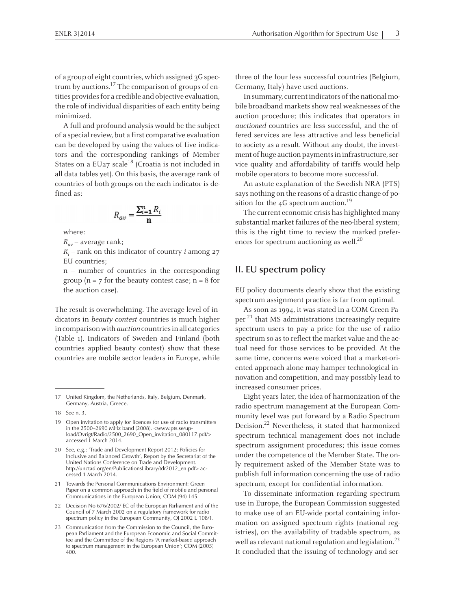of a group of eight countries, which assigned 3G spectrum by auctions.<sup>17</sup> The comparison of groups of entities provides for a credible and objective evaluation, the role of individual disparities of each entity being minimized.

<sup>A</sup> full and profound analysis would be the subject of a special review, but a first comparative evaluation can be developed by using the values of five indicators and the corresponding rankings of Member States on a EU27 scale<sup>18</sup> (Croatia is not included in all data tables yet). On this basis, the average rank of countries of both groups on the each indicator is defined as:

$$
R_{av} = \frac{\sum_{i=1}^{n} R_i}{n}
$$

where:

 $R_{av}$  – average rank;

 $R_i$  – rank on this indicator of country *i* among 27 EU countries;

<sup>n</sup> – number of countries in the corresponding group ( $n = 7$  for the beauty contest case;  $n = 8$  for the auction case).

The result is overwhelming. The average level of indicators in beauty contest countries is much higher in comparison with *auction* countries in all categories (Table 1). Indicators of Sweden and Finland (both countries applied beauty contest) show that these countries are mobile sector leaders in Europe, while

- 21 Towards the Personal Communications Environment: Green Paper on <sup>a</sup> common approach in the field of mobile and personal Communications in the European Union; COM (94) 145.
- <sup>22</sup> Decision No 676/2002/ EC of the European Parliament and of the Council of <sup>7</sup> March <sup>2002</sup> on <sup>a</sup> regulatory framework for radio spectrum policy in the European Community, OJ <sup>2002</sup> <sup>L</sup> 108/1.

three of the four less successful countries (Belgium, Germany, Italy) have used auctions.

In summary, current indicators of the national mobile broadband markets show real weaknesses of the auction procedure; this indicates that operators in auctioned countries are less successful, and the offered services are less attractive and less beneficial to society as <sup>a</sup> result. Without any doubt, the investment of huge auction payments in infrastructure, service quality and affordability of tariffs would help mobile operators to become more successful.

An astute explanation of the Swedish NRA (PTS) says nothing on the reasons of <sup>a</sup> drastic change of position for the 4G spectrum auction.<sup>19</sup>

The current economic crisis has highlighted many substantial market failures of the neo-liberal system; this is the right time to review the marked preferences for spectrum auctioning as well. 20

#### **II. EU spectrum policy**

EU policy documents clearly show that the existing spectrum assignment practice is far from optimal.

As soon as 1994, it was stated in <sup>a</sup> COM Green Paper<sup>21</sup> that MS administrations increasingly require spectrum users to pay <sup>a</sup> price for the use of radio spectrum so as to reflect the market value and the actual need for those services to be provided. At the same time, concerns were voiced that <sup>a</sup> market-oriented approach alone may hamper technological innovation and competition, and may possibly lead to increased consumer prices.

Eight years later, the idea of harmonization of the radio spectrum managemen<sup>t</sup> at the European Community level was pu<sup>t</sup> forward by <sup>a</sup> Radio Spectrum Decision. 22 Nevertheless, it stated that harmonized spectrum technical managemen<sup>t</sup> does not include spectrum assignment procedures; this issue comes under the competence of the Member State. The only requirement asked of the Member State was to publish full information concerning the use of radio spectrum, excep<sup>t</sup> for confidential information.

To disseminate information regarding spectrum use in Europe, the European Commission suggested to make use of an EU-wide portal containing information on assigned spectrum rights (national registries), on the availability of tradable spectrum, as well as relevant national regulation and legislation.<sup>23</sup> It concluded that the issuing of technology and ser-

<sup>17</sup> United Kingdom, the Netherlands, Italy, Belgium, Denmark, Germany, Austria, Greece.

<sup>18</sup> See n. 3.

<sup>19</sup> Open invitation to apply for licences for use of radio transmitters in the 2500–2690 MHz band (2008). <www.pts.se/upload/Ovrigt/Radio/2500\_2690\_Open\_invitation\_080117.pdf/> accessed 1 March 2014.

<sup>20</sup> See, e.g.: 'Trade and Development Report 2012; Policies for Inclusive and Balanced Growth', Report by the Secretariat of the United Nations Conference on Trade and Development. http://unctad.org/en/PublicationsLibrary/tdr2012\_en.pdf> accessed 1 March 2014.

<sup>23</sup> Communication from the Commission to the Council, the European Parliament and the European Economic and Social Committee and the Committee of the Regions 'A market-based approach to spectrum managemen<sup>t</sup> in the European Union'; COM (2005) 400.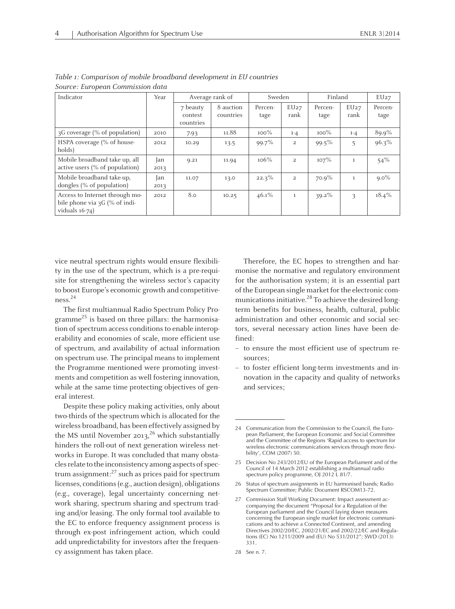| Indicator                                                                            | Year        | Average rank of                  |                        | Sweden          |                | Finland         |              | EU27            |
|--------------------------------------------------------------------------------------|-------------|----------------------------------|------------------------|-----------------|----------------|-----------------|--------------|-----------------|
|                                                                                      |             | 7 beauty<br>contest<br>countries | 8 auction<br>countries | Percen-<br>tage | EU27<br>rank   | Percen-<br>tage | EU27<br>rank | Percen-<br>tage |
| 3G coverage (% of population)                                                        | 2010        | 7.93                             | 11.88                  | $100\%$         | $1 - 4$        | $100\%$         | $1 - 4$      | 89.9%           |
| HSPA coverage (% of house-<br>holds)                                                 | 2012        | 10.29                            | 13.5                   | 99.7%           | $\overline{2}$ | $99.5\%$        | 5            | $96.3\%$        |
| Mobile broadband take up, all<br>active users $(\%$ of population)                   | Jan<br>2013 | 9.21                             | 11.94                  | $106\%$         | $\overline{2}$ | $107\%$         | <sup>1</sup> | $54\%$          |
| Mobile broadband take-up,<br>dongles (% of population)                               | Jan<br>2013 | 11.07                            | 13.0                   | $22.3\%$        | 2              | 70.9%           | $\mathbf{1}$ | $9.0\%$         |
| Access to Internet through mo-<br>bile phone via 3G (% of indi-<br>viduals $16-74$ ) | 2012        | 8.0                              | 10.25                  | $46.1\%$        | $\mathbf{1}$   | $39.2\%$        | 3            | $18.4\%$        |

Table 1: Comparison of mobile broadband development in EU countries Source: European Commission data

vice neutral spectrum rights would ensure flexibility in the use of the spectrum, which is <sup>a</sup> pre-requisite for strengthening the wireless sector's capacity to boost Europe's economic growth and competitiveness. 24

The first multiannual Radio Spectrum Policy Programme 25 is based on three pillars: the harmonisation of spectrum access conditions to enable interoperability and economies of scale, more efficient use of spectrum, and availability of actual information on spectrum use. The principal means to implement the Programme mentioned were promoting investments and competition as well fostering innovation, while at the same time protecting objectives of general interest.

Despite these policy making activities, only about two-thirds of the spectrum which is allocated for the wireless broadband, has been effectively assigned by the MS until November 2013,<sup>26</sup> which substantially hinders the roll-out of next generation wireless networks in Europe. It was concluded that many obstacles relate to the inconsistency among aspects of spectrum assignment:<sup>27</sup> such as prices paid for spectrum licenses, conditions(e.g., auction design), obligations (e.g., coverage), legal uncertainty concerning network sharing, spectrum sharing and spectrum trading and/or leasing. The only formal tool available to the EC to enforce frequency assignment process is through ex-pos<sup>t</sup> infringement action, which could add unpredictability for investors after the frequency assignment has taken place.

Therefore, the EC hopes to strengthen and harmonise the normative and regulatory environment for the authorisation system; it is an essential par<sup>t</sup> of the European single market for the electronic communications initiative.<sup>28</sup> To achieve the desired longterm benefits for business, health, cultural, public administration and other economic and social sectors, several necessary action lines have been defined:

- to ensure the most efficient use of spectrum resources;
- to foster efficient long-term investments and innovation in the capacity and quality of networks and services;

<sup>24</sup> Communication from the Commission to the Council, the European Parliament, the European Economic and Social Committee and the Committee of the Regions 'Rapid access to spectrum for wireless electronic communications services through more flexibility', COM (2007) 50.

<sup>25</sup> Decision No 243/2012/EU of the European Parliament and of the Council of <sup>14</sup> March <sup>2012</sup> establishing <sup>a</sup> multiannual radio spectrum policy programme, OJ 2012 L 81/7

<sup>26</sup> Status of spectrum assignments in EU harmonised bands; Radio Spectrum Committee; Public Document RSCOM13-72.

<sup>27</sup> Commission Staff Working Document: Impact assessment accompanying the document "Proposal for <sup>a</sup> Regulation of the European parliament and the Council laying down measures concerning the European single market for electronic communications and to achieve <sup>a</sup> Connected Continent, and amending Directives 2002/20/EC, 2002/21/EC and 2002/22/EC and Regulations (EC) No 1211/2009 and (EU) No 531/2012"; SWD (2013) 331.

<sup>28</sup> See n. 7.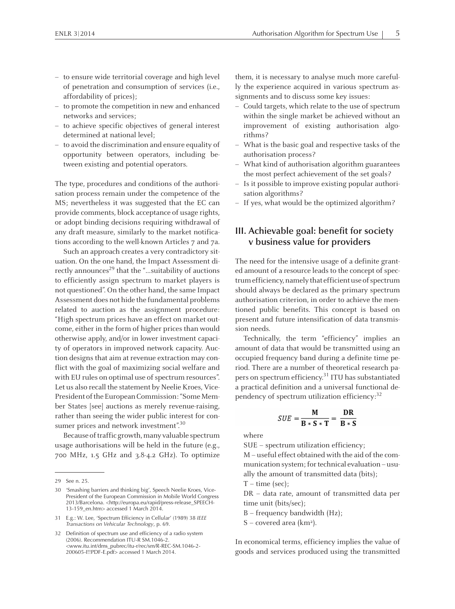- to ensure wide territorial coverage and high level of penetration and consumption of services (i.e., affordability of prices);
- to promote the competition in new and enhanced networks and services;
- to achieve specific objectives of general interest determined at national level;
- to avoid the discrimination and ensure equality of opportunity between operators, including between existing and potential operators.

The type, procedures and conditions of the authorisation process remain under the competence of the MS; nevertheless it was suggested that the EC can provide comments, block acceptance of usage rights, or adopt binding decisions requiring withdrawal of any draft measure, similarly to the market notifications according to the well-known Articles <sup>7</sup> and 7a.

Such an approach creates <sup>a</sup> very contradictory situation. On the one hand, the Impact Assessment directly announces<sup>29</sup> that the "…suitability of auctions to efficiently assign spectrum to market players is not questioned". On the other hand, the same Impact Assessment does not hide the fundamental problems related to auction as the assignment procedure: "High spectrum prices have an effect on market outcome, either in the formof higher prices than would otherwise apply, and/or in lower investment capacity of operators in improved network capacity. Auction designs that aim at revenue extraction may conflict with the goal of maximizing social welfare and with EU rules on optimal use of spectrum resources". Let us also recall the statement by Neelie Kroes, Vice-President of the European Commission: "Some Member States [see] auctions as merely revenue-raising, rather than seeing the wider public interest for consumer prices and network investment".<sup>30</sup>

Because of traffic growth, many valuable spectrum usage authorisations will be held in the future (e.g., 700 MHz, 1.5 GHz and 3.8-4.2 GHz). To optimize

<sup>31</sup> E.g.: W. Lee, 'Spectrum Efficiency in Cellular' (1989) <sup>38</sup> *IEEE Transactions on Vehicular Technology*, p. 69.

them, it is necessary to analyse much more carefully the experience acquired in various spectrum assignments and to discuss some key issues:

- Could targets, which relate to the use of spectrum within the single market be achieved without an improvement of existing authorisation algorithms?
- What is the basic goal and respective tasks of the authorisation process?
- What kind of authorisation algorithm guarantees the most perfect achievement of the set goals?
- Is it possible to improve existing popular authorisation algorithms?
- If yes, what would be the optimized algorithm?

# **III. Achievable goal: benefit for society <sup>v</sup> business value for providers**

The need for the intensive usage of <sup>a</sup> definite granted amount of <sup>a</sup> resource leads to the concep<sup>t</sup> of spectrum efficiency, namely that efficient use of spectrum should always be declared as the primary spectrum authorisation criterion, in order to achieve the mentioned public benefits. This concep<sup>t</sup> is based on presen<sup>t</sup> and future intensification of data transmission needs.

Technically, the term "efficiency" implies an amount of data that would be transmitted using an occupied frequency band during <sup>a</sup> definite time period. There are <sup>a</sup> number of theoretical research papers on spectrum efficiency.<sup>31</sup> ITU has substantiated <sup>a</sup> practical definition and <sup>a</sup> universal functional dependency of spectrum utilization efficiency:<sup>32</sup>

$$
\text{SUE} = \frac{M}{B * S * T} = \frac{DR}{B * S}
$$

where

SUE – spectrum utilization efficiency;

M – useful effect obtained with the aid of the communication system; for technical evaluation – usually the amount of transmitted data (bits);

 $T - time (sec);$ 

DR – data rate, amount of transmitted data per time unit (bits/sec);

<sup>B</sup> – frequency bandwidth (Hz);

<sup>S</sup> – covered area (km<sup>2</sup> ).

In economical terms, efficiency implies the value of goods and services produced using the transmitted

<sup>29</sup> See n. 25.

<sup>30</sup> 'Smashing barriers and thinking big', Speech Neelie Kroes, Vice-President of the European Commission in Mobile World Congress 2013/Barcelona. <http://europa.eu/rapid/press-release\_SPEECH-13-159\_en.htm> accessed 1 March 2014.

<sup>32</sup> Definition of spectrum use and efficiency of <sup>a</sup> radio system (2006). Recommendation ITU-R SM.1046-2. <www.itu.int/dms\_pubrec/itu-r/rec/sm/R-REC-SM.1046-2- 200605-I!!PDF-E.pdf> accessed <sup>1</sup> March 2014.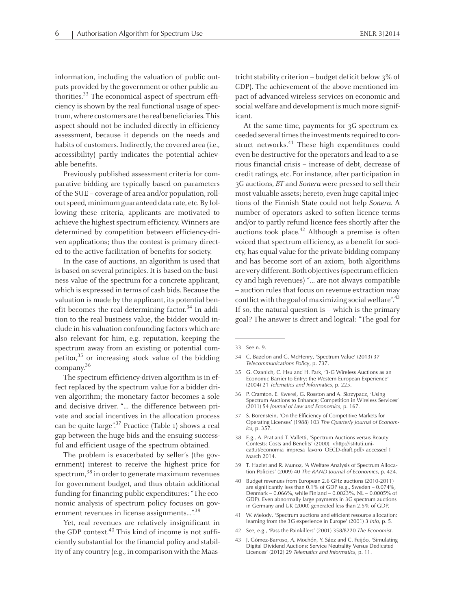information, including the valuation of public outputs provided by the governmen<sup>t</sup> or other public authorities.<sup>33</sup> The economical aspect of spectrum efficiency is shown by the real functional usage of spectrum,where customers are the realbeneficiaries.This aspec<sup>t</sup> should not be included directly in efficiency assessment, because it depends on the needs and habits of customers. Indirectly, the covered area (i.e., accessibility) partly indicates the potential achievable benefits.

Previously published assessment criteria for comparative bidding are typically based on parameters of the SUE – coverage of area and/or population, rollout speed, minimum guaranteed data rate, etc. By following these criteria, applicants are motivated to achieve the highest spectrum efficiency. Winners are determined by competition between efficiency-driven applications; thus the contest is primary directed to the active facilitation of benefits for society.

In the case of auctions, an algorithm is used that is based on several principles. It is based on the business value of the spectrum for <sup>a</sup> concrete applicant, which is expressed in terms of cash bids. Because the valuation is made by the applicant, its potential benefit becomes the real determining factor.<sup>34</sup> In addition to the real business value, the bidder would include in his valuation confounding factors which are also relevant for him, e.g. reputation, keeping the spectrum away from an existing or potential competitor,<sup>35</sup> or increasing stock value of the bidding company. 36

The spectrum efficiency-driven algorithm is in effect replaced by the spectrum value for <sup>a</sup> bidder driven algorithm; the monetary factor becomes <sup>a</sup> sole and decisive driver. "… the difference between private and social incentives in the allocation process can be quite large".<sup>37</sup> Practice (Table 1) shows a real gap between the huge bids and the ensuing successful and efficient usage of the spectrum obtained.

The problem is exacerbated by seller's (the government) interest to receive the highest price for spectrum,<sup>38</sup> in order to generate maximum revenues for governmen<sup>t</sup> budget, and thus obtain additional funding for financing public expenditures: "The economic analysis of spectrum policy focuses on government revenues in license assignments...".<sup>39</sup>

Yet, real revenues are relatively insignificant in the GDP context. 40 This kind of income is not sufficiently substantial for the financial policy and stability of any country (e.g., in comparison with the Maastricht stability criterion – budget deficit below  $3\%$  of GDP). The achievement of the above mentioned impac<sup>t</sup> of advanced wireless services on economic and social welfare and development is much more significant.

At the same time, payments for 3<sup>G</sup> spectrum exceeded several times the investments required to construct networks. 41 These high expenditures could even be destructive for the operators and lead to a serious financial crisis – increase of debt, decrease of credit ratings, etc. For instance, after participation in 3<sup>G</sup> auctions, BT and Sonera were pressed to sell their most valuable assets; hereto, even huge capital injections of the Finnish State could not help Sonera. <sup>A</sup> number of operators asked to soften licence terms and/or to partly refund licence fees shortly after the auctions took place.<sup>42</sup> Although a premise is often voiced that spectrum efficiency, as <sup>a</sup> benefit for society, has equal value for the private bidding company and has become sort of an axiom, both algorithms are very different. Both objectives(spectrumefficiency and high revenues) "… are not always compatible – auction rules that focus on revenue extractionmay conflict with the goal of maximizing social welfare". $^{43}$ If so, the natural question is  $-$  which is the primary goal? The answer is direct and logical: "The goal for

- <sup>34</sup> C. Bazelon and G. McHenry, 'Spectrum Value' (2013) <sup>37</sup> *Telecommunications Pol*icy, p. 737.
- 35 G. Ozanich, C. Hsu and H. Park, '3-G Wireless Auctions as an Economic Barrier to Entry: the Western European Experience' (2004) <sup>21</sup> *Telematics and Informatics*, p. 225.
- <sup>36</sup> P. Cramton, E. Kwerel, G. Rosston and A. Skrzypacz, 'Using Spectrum Auctions to Enhance; Competition in Wireless Services' (2011) <sup>54</sup> *Journal of Law and Economics*, p. 167.
- <sup>37</sup> S. Borenstein, 'On the Efficiency of Competitive Markets for Operating Licenses' (1988) <sup>103</sup> *The Quarterly Journal of Economics*, p. 357.
- <sup>38</sup> E.g., A. Prat and T. Valletti, 'Spectrum Auctions versus Beauty Contests: Costs and Benefits' (2000). <http://istituti.unicatt.it/economia\_impresa\_lavoro\_OECD-draft.pdf> accessed <sup>1</sup> March 2014.
- <sup>39</sup> T. Hazlet and R. Munoz, 'A Welfare Analysis of Spectrum Allocation Policies' (2009) <sup>40</sup> *The RAND Journal of Economics*, p. 424.
- <sup>40</sup> Budget revenues from European 2.6 GHz auctions (2010-2011) are significantly less than 0.1% of GDP (e.g., Sweden – 0.074%, Denmark – 0.066%, while Finland – 0.0023%, NL – 0.0005% of GDP). Even abnormally large payments in 3G spectrum auctions in Germany and UK (2000) generated less than 2.5% of GDP.
- <sup>41</sup> W. Melody, 'Spectrum auctions and efficient resource allocation: learning from the 3G experience in Europe' (2001) <sup>3</sup> *Info*, p. 5.
- <sup>42</sup> See, e.g., 'Pass the Painkillers' (2001) 358/8220 *The Economist*.
- <sup>43</sup> J. Gómez-Barroso, A. Mochón, Y. Sáez and C. Feijóo, 'Simulating Digital Dividend Auctions: Service Neutrality Versus Dedicated Licences' (2012) <sup>29</sup> *Telematics and Informatics*, p. 11.

<sup>33</sup> See n. 9.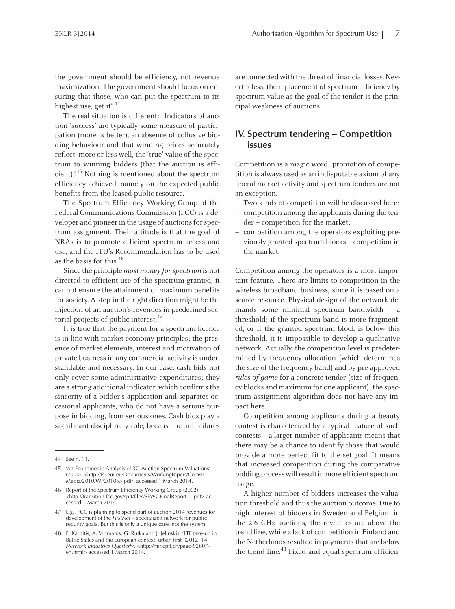the governmen<sup>t</sup> should be efficiency, not revenue maximization. The governmen<sup>t</sup> should focus on ensuring that those, who can pu<sup>t</sup> the spectrum to its highest use, get it".<sup>44</sup>

The real situation is different: "Indicators of auction 'success' are typically some measure of participation (more is better), an absence of collusive bidding behaviour and that winning prices accurately reflect, more or less well, the 'true' value of the spectrum to winning bidders (that the auction is efficient)". 45 Nothing is mentioned about the spectrum efficiency achieved, namely on the expected public benefits from the leased public resource.

The Spectrum Efficiency Working Group of the Federal Communications Commission (FCC) is <sup>a</sup> developer and pioneer in the usage of auctions for spectrum assignment. Their attitude is that the goal of NRAs is to promote efficient spectrum access and use, and the ITU's Recommendation has to be used as the basis for this.<sup>46</sup>

Since the principle *most money for spectrum* is not directed to efficient use of the spectrum granted, it cannot ensure the attainment of maximum benefits for society. A step in the right direction might be the injection of an auction's revenues in predefined sectorial projects of public interest.<sup>47</sup>

It is true that the paymen<sup>t</sup> for <sup>a</sup> spectrum licence is in line with market economy principles; the presence of market elements, interest and motivation of private businessin any commercial activity is understandable and necessary. In our case, cash bids not only cover some administrative expenditures; they are a strong additional indicator, which confirms the sincerity of <sup>a</sup> bidder's application and separates occasional applicants, who do not have <sup>a</sup> serious purpose in bidding, from serious ones. Cash bids play <sup>a</sup> significant disciplinary role, because future failures are connected with the threat of financial losses. Nevertheless, the replacement of spectrum efficiency by spectrum value as the goal of the tender is the principal weakness of auctions.

# **IV. Spectrum tendering – Competition issues**

Competition is <sup>a</sup> magic word; promotion of competition is always used as an indisputable axiomof any liberal market activity and spectrum tenders are not an exception.

- Two kinds of competition will be discussed here:
- competition among the applicants during the tender – competition for the market;
- competition among the operators exploiting previously granted spectrum blocks – competition in the market.

Competition among the operators is <sup>a</sup> most important feature. There are limits to competition in the wireless broadband business, since it is based on <sup>a</sup> scarce resource. Physical design of the network demands some minimal spectrum bandwidth – <sup>a</sup> threshold; if the spectrum band is more fragmented, or if the granted spectrum block is below this threshold, it is impossible to develop <sup>a</sup> qualitative network. Actually, the competition level is predetermined by frequency allocation (which determines the size of the frequency band) and by pre-approved rules of game for <sup>a</sup> concrete tender (size of frequency blocks and maximum for one applicant); the spectrum assignment algorithm does not have any impac<sup>t</sup> here.

Competition among applicants during <sup>a</sup> beauty contest is characterized by <sup>a</sup> typical feature of such contests – <sup>a</sup> larger number of applicants means that there may be <sup>a</sup> chance to identify those that would provide <sup>a</sup> more perfect fit to the set goal. It means that increased competition during the comparative bidding process will result in more efficient spectrum usage.

<sup>A</sup> higher number of bidders increases the valuation threshold and thus the auction outcome. Due to high interest of bidders in Sweden and Belgium in the 2.6 GHz auctions, the revenues are above the trend line, while <sup>a</sup> lack of competition in Finland and the Netherlands resulted in payments that are below the trend line.<sup>48</sup> Fixed and equal spectrum efficien-

<sup>44</sup> See n. 11.

<sup>45</sup> 'An Econometric Analysis of 3G Auction Spectrum Valuations' (2010). <http://fsr.eui.eu/Documents/WorkingPapers/Comsn-Media/2010/WP201055.pdf> accessed <sup>1</sup> March 2014.

<sup>46</sup> Report of the Spectrum Efficiency Working Group (2002). <http://transition.fcc.gov/sptf/files/SEWGFinalReport\_1.pdf> accessed 1 March 2014.

<sup>47</sup> E.g., FCC is planning to spend par<sup>t</sup> of auction <sup>2014</sup> revenues for development of the *FirstNet* – specialized network for public security goals. But this is only <sup>a</sup> unique case, not the system.

<sup>48</sup> E. Karnitis, A. Virtmanis, G. Rutka and J. Jelinskis, 'LTE take-up in Baltic States and the European context: urban first' (2012) <sup>14</sup> *Network Industries Quarterly*. <http://mir.epfl.ch/page-92607 en.html> accessed 1 March 2014.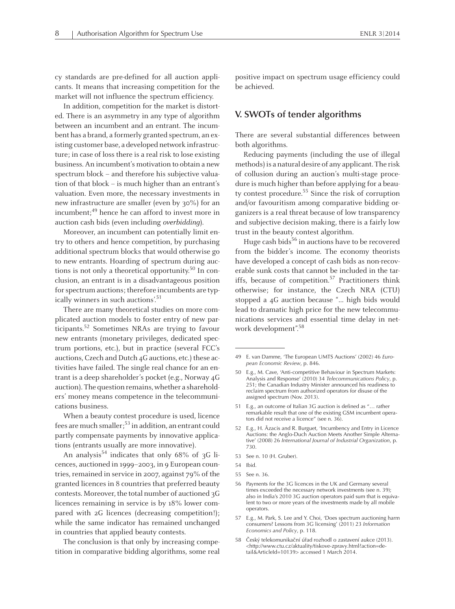cy standards are pre-defined for all auction applicants. It means that increasing competition for the market will not influence the spectrum efficiency.

In addition, competition for the market is distorted. There is an asymmetry in any type of algorithm between an incumbent and an entrant. The incumbent has <sup>a</sup> brand, <sup>a</sup> formerly granted spectrum, an existing customer base, <sup>a</sup> developed network infrastructure; in case of loss there is <sup>a</sup> real risk to lose existing business. An incumbent's motivation to obtain a new spectrum block – and therefore his subjective valuation of that block – is much higher than an entrant's valuation. Even more, the necessary investments in new infrastructure are smaller (even by 30%) for an incumbent; 49 hence he can afford to invest more in auction cash bids (even including overbidding).

Moreover, an incumbent can potentially limit entry to others and hence competition, by purchasing additional spectrum blocks that would otherwise go to new entrants. Hoarding of spectrum during auctions is not only a theoretical opportunity.<sup>50</sup> In conclusion, an entrant is in <sup>a</sup> disadvantageous position for spectrum auctions; therefore incumbents are typically winners in such auctions'. 51

There are many theoretical studies on more complicated auction models to foster entry of new participants. 52 Sometimes NRAs are trying to favour new entrants (monetary privileges, dedicated spectrum portions, etc.), but in practice (several FCC's auctions, Czech and Dutch 4<sup>G</sup> auctions, etc.) these activities have failed. The single real chance for an entrant is <sup>a</sup> deep shareholder's pocket (e.g., Norway 4<sup>G</sup> auction). The question remains, whether a shareholders' money means competence in the telecommunications business.

When <sup>a</sup> beauty contest procedure is used, licence fees are much smaller;<sup>53</sup> in addition, an entrant could partly compensate payments by innovative applications (entrants usually are more innovative).

An analysis<sup>54</sup> indicates that only 68% of 3G licences, auctioned in 1999-2003, in 9 European countries, remained in service in 2007, against 79% of the granted licences in <sup>8</sup> countries that preferred beauty contests. Moreover, the total number of auctioned 3G licences remaining in service is by 18% lower compared with 2G licences (decreasing competition!); while the same indicator has remained unchanged in countries that applied beauty contests.

The conclusion is that only by increasing competition in comparative bidding algorithms, some real positive impact on spectrum usage efficiency could be achieved.

#### **V. SWOTs of tender algorithms**

There are several substantial differences between both algorithms.

Reducing payments (including the use of illegal methods) is a natural desire of any applicant. The risk of collusion during an auction's multi-stage procedure is much higher than before applying for a beauty contest procedure. 55 Since the risk of corruption and/or favouritism among comparative bidding organizers is <sup>a</sup> real threat because of low transparency and subjective decision making, there is <sup>a</sup> fairly low trust in the beauty contest algorithm.

Huge cash bids<sup>56</sup> in auctions have to be recovered from the bidder's income. The economy theorists have developed <sup>a</sup> concep<sup>t</sup> of cash bids as non-recoverable sunk costs that cannot be included in the tariffs, because of competition.<sup>57</sup> Practitioners think otherwise; for instance, the Czech NRA (CTU) stopped <sup>a</sup> 4<sup>G</sup> auction because "… high bids would lead to dramatic high price for the new telecommunications services and essential time delay in network development". 58

- <sup>52</sup> E.g., H. Āzacis and R. Burguet, 'Incumbency and Entry in Licence Auctions: the Anglo-Duch Auction Meets Another Simple Alternative' (2008) <sup>26</sup> *International Journal of Industrial Organization*, p. 730.
- 53 See n. 10 (H. Gruber).
- 54 Ibid.
- 55 See n. 36.
- <sup>56</sup> Payments for the 3G licences in the UK and Germany several times exceeded the necessary network investments (see n. 39); also in India's <sup>2010</sup> 3G auction operators paid sum that is equivalent to two or more years of the investments made by all mobile operators.
- <sup>57</sup> E.g., M. Park, S. Lee and Y. Choi, 'Does spectrum auctioning harm consumers? Lessons from 3G licensing' (2011) <sup>23</sup> *Information Economics and Policy*, p. 118.
- <sup>58</sup> Český telekomunikační úřad rozhodl <sup>o</sup> zastavení aukce (2013). <http://www.ctu.cz/aktuality/tiskove-zpravy.html?action=detail&ArticleId=10139> accessed 1 March 2014.

<sup>49</sup> E. van Damme, 'The European UMTS Auctions' (2002) <sup>46</sup> *European Economic Review*, p. 846.

<sup>50</sup> E.g., M. Cave, 'Anti-competitive Behaviour in Spectrum Markets: Analysis and Response' (2010) <sup>34</sup> *Telecommunications Policy*, p. 251; the Canadian Industry Minister announced his readiness to reclaim spectrum from authorized operators for disuse of the assigned spectrum (Nov. 2013).

<sup>51</sup> E.g., an outcome of Italian 3G auction is defined as "… rather remarkable result that one of the existing GSM incumbent operators did not receive <sup>a</sup> licence" (see n. 36).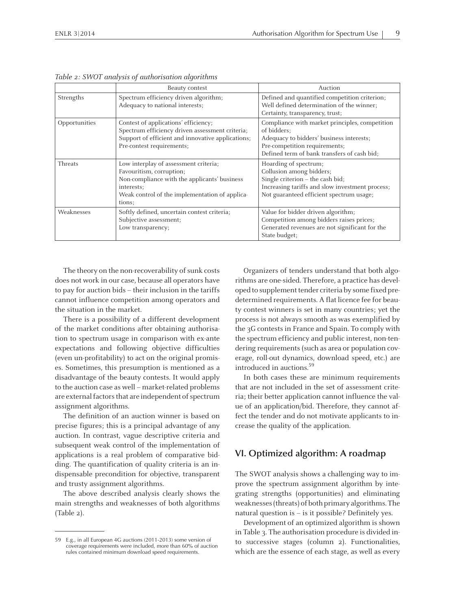|               | Beauty contest                                                                                                                                                                              | Auction                                                                                                                                                                                   |  |  |  |
|---------------|---------------------------------------------------------------------------------------------------------------------------------------------------------------------------------------------|-------------------------------------------------------------------------------------------------------------------------------------------------------------------------------------------|--|--|--|
| Strengths     | Spectrum efficiency driven algorithm;<br>Adequacy to national interests;                                                                                                                    | Defined and quantified competition criterion;<br>Well defined determination of the winner;<br>Certainty, transparency, trust;                                                             |  |  |  |
| Opportunities | Contest of applications' efficiency;<br>Spectrum efficiency driven assessment criteria;<br>Support of efficient and innovative applications;<br>Pre-contest requirements;                   | Compliance with market principles, competition<br>of bidders;<br>Adequacy to bidders' business interests;<br>Pre-competition requirements;<br>Defined term of bank transfers of cash bid; |  |  |  |
| Threats       | Low interplay of assessment criteria;<br>Favouritism, corruption;<br>Non-compliance with the applicants' business<br>interests;<br>Weak control of the implementation of applica-<br>tions; | Hoarding of spectrum;<br>Collusion among bidders;<br>Single criterion - the cash bid;<br>Increasing tariffs and slow investment process;<br>Not guaranteed efficient spectrum usage;      |  |  |  |
| Weaknesses    | Softly defined, uncertain contest criteria;<br>Subjective assessment;<br>Low transparency;                                                                                                  | Value for bidder driven algorithm;<br>Competition among bidders raises prices;<br>Generated revenues are not significant for the<br>State budget;                                         |  |  |  |

Table 2: SWOT analysis of authorisation algorithms

The theory on the non-recoverability of sunk costs does not work in our case, because all operators have to pay for auction bids – their inclusion in the tariffs cannot influence competition among operators and the situation in the market.

There is <sup>a</sup> possibility of <sup>a</sup> different development of the market conditions after obtaining authorisation to spectrum usage in comparison with ex-ante expectations and following objective difficulties (even un-profitability) to act on the original promises. Sometimes, this presumption is mentioned as <sup>a</sup> disadvantage of the beauty contests. It would apply to the auction case as well – market-related problems are external factors that are independent of spectrum assignment algorithms.

The definition of an auction winner is based on precise figures; this is <sup>a</sup> principal advantage of any auction. In contrast, vague descriptive criteria and subsequent weak control of the implementation of applications is <sup>a</sup> real problem of comparative bidding. The quantification of quality criteria is an indispensable precondition for objective, transparent and trusty assignment algorithms.

The above described analysis clearly shows the main strengths and weaknesses of both algorithms (Table 2).

Organizers of tenders understand that both algorithms are one-sided. Therefore, <sup>a</sup> practice has developed to supplement tender criteria by some fixed predetermined requirements. <sup>A</sup> flat licence fee for beauty contest winners is set in many countries; ye<sup>t</sup> the process is not always smooth as was exemplified by the 3<sup>G</sup> contests in France and Spain. To comply with the spectrumefficiency and public interest, non-tendering requirements(such as area or population coverage, roll-out dynamics, download speed, etc.) are introduced in auctions. 59

In both cases these are minimum requirements that are not included in the set of assessment criteria; their better application cannot influence the value of an application/bid. Therefore, they cannot affect the tender and do not motivate applicants to increase the quality of the application.

### **VI. Optimized algorithm: <sup>A</sup> roadmap**

The SWOT analysis shows <sup>a</sup> challenging way to improve the spectrum assignment algorithm by integrating strengths (opportunities) and eliminating weaknesses (threats) of both primary algorithms. The natural question is – is it possible? Definitely yes.

Development of an optimized algorithm is shown in Table 3. The authorisation procedure is divided into successive stages (column 2). Functionalities, which are the essence of each stage, as well as every

<sup>59</sup> E.g., in all European 4G auctions (2011-2013) some version of coverage requirements were included, more than 60% of auction rules contained minimum download speed requirements.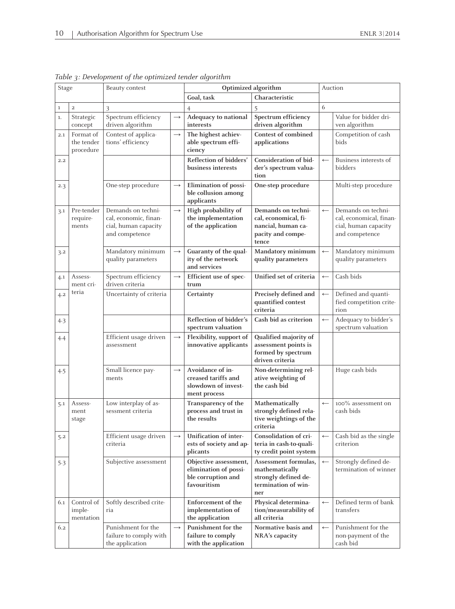| Stage       |                                      | Beauty contest                                                                        |                   | Optimized algorithm                                                                 |                                                                                                |                  | Auction                                                                                 |  |  |
|-------------|--------------------------------------|---------------------------------------------------------------------------------------|-------------------|-------------------------------------------------------------------------------------|------------------------------------------------------------------------------------------------|------------------|-----------------------------------------------------------------------------------------|--|--|
|             |                                      |                                                                                       |                   | Goal, task                                                                          | Characteristic                                                                                 |                  |                                                                                         |  |  |
| $\mathbf 1$ | $\overline{2}$                       | 3                                                                                     |                   | $\overline{4}$                                                                      | 5                                                                                              | 6                |                                                                                         |  |  |
| 1.          | Strategic<br>concept                 | Spectrum efficiency<br>driven algorithm                                               | $\rightarrow$     | Adequacy to national<br>interests                                                   | Spectrum efficiency<br>driven algorithm                                                        |                  | Value for bidder dri-<br>ven algorithm                                                  |  |  |
| 2.1         | Format of<br>the tender<br>procedure | Contest of applica-<br>tions' efficiency                                              | $\longrightarrow$ | The highest achiev-<br>able spectrum effi-<br>ciency                                | Contest of combined<br>applications                                                            |                  | Competition of cash<br>bids                                                             |  |  |
| 2.2         |                                      |                                                                                       |                   | Reflection of bidders'<br>business interests                                        | Consideration of bid-<br>der's spectrum valua-<br>tion                                         | $\leftarrow$     | Business interests of<br>bidders                                                        |  |  |
| 2.3         |                                      | One-step procedure                                                                    | $\longrightarrow$ | Elimination of possi-<br>ble collusion among<br>applicants                          | One-step procedure                                                                             |                  | Multi-step procedure                                                                    |  |  |
| 3.1         | Pre-tender<br>require-<br>ments      | Demands on techni-<br>cal, economic, finan-<br>cial, human capacity<br>and competence | $\longrightarrow$ | High probability of<br>the implementation<br>of the application                     | Demands on techni-<br>cal, economical, fi-<br>nancial, human ca-<br>pacity and compe-<br>tence | $\leftarrow$     | Demands on techni-<br>cal, economical, finan-<br>cial, human capacity<br>and competence |  |  |
| 3.2         |                                      | Mandatory minimum<br>quality parameters                                               | $\rightarrow$     | Guaranty of the qual-<br>ity of the network<br>and services                         | Mandatory minimum<br>quality parameters                                                        | $\leftarrow$     | Mandatory minimum<br>quality parameters                                                 |  |  |
| 4.1         | Assess-<br>ment cri-                 | Spectrum efficiency<br>driven criteria                                                | $\longrightarrow$ | Efficient use of spec-<br>trum                                                      | Unified set of criteria                                                                        | $\leftarrow$     | Cash bids                                                                               |  |  |
| 4.2         | teria                                | Uncertainty of criteria                                                               |                   | Certainty                                                                           | Precisely defined and<br>quantified contest<br>criteria                                        | $\leftarrow$     | Defined and quanti-<br>fied competition crite-<br>rion                                  |  |  |
| 4.3         |                                      |                                                                                       |                   | Reflection of bidder's<br>spectrum valuation                                        | Cash bid as criterion                                                                          | $\leftarrow$     | Adequacy to bidder's<br>spectrum valuation                                              |  |  |
| 4.4         |                                      | Efficient usage driven<br>assessment                                                  | $\longrightarrow$ | Flexibility, support of<br>innovative applicants                                    | Qualified majority of<br>assessment points is<br>formed by spectrum<br>driven criteria         |                  |                                                                                         |  |  |
| 4.5         |                                      | Small licence pay-<br>ments                                                           | $\longrightarrow$ | Avoidance of in-<br>creased tariffs and<br>slowdown of invest-<br>ment process      | Non-determining rel-<br>ative weighting of<br>the cash bid                                     |                  | Huge cash bids                                                                          |  |  |
| 5.1         | Assess-<br>ment<br>stage             | Low interplay of as-<br>sessment criteria                                             |                   | Transparency of the<br>process and trust in<br>the results                          | Mathematically<br>strongly defined rela-<br>tive weightings of the<br>criteria                 | $\longleftarrow$ | 100% assessment on<br>cash bids                                                         |  |  |
| 5.2         |                                      | Efficient usage driven<br>criteria                                                    | $\longrightarrow$ | Unification of inter-<br>ests of society and ap-<br>plicants                        | Consolidation of cri-<br>teria in cash-to-quali-<br>ty credit point system                     | $\longleftarrow$ | Cash bid as the single<br>criterion                                                     |  |  |
| 5.3         |                                      | Subjective assessment                                                                 |                   | Objective assessment,<br>elimination of possi-<br>ble corruption and<br>favouritism | Assessment formulas,<br>mathematically<br>strongly defined de-<br>termination of win-<br>ner   | $\longleftarrow$ | Strongly defined de-<br>termination of winner                                           |  |  |
| 6.1         | Control of<br>imple-<br>mentation    | Softly described crite-<br>ria                                                        |                   | Enforcement of the<br>implementation of<br>the application                          | Physical determina-<br>tion/measurability of<br>all criteria                                   | $\leftarrow$     | Defined term of bank<br>transfers                                                       |  |  |
| 6.2         |                                      | Punishment for the<br>failure to comply with<br>the application                       | $\longrightarrow$ | Punishment for the<br>failure to comply<br>with the application                     | Normative basis and<br>NRA's capacity                                                          | $\leftarrow$     | Punishment for the<br>non-payment of the<br>cash bid                                    |  |  |

Table 3: Development of the optimized tender algorithm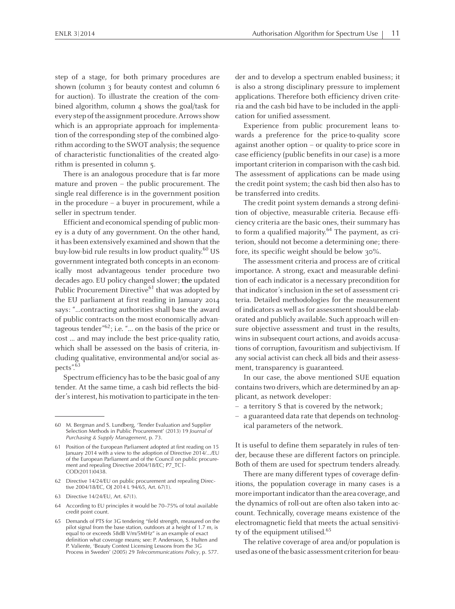step of <sup>a</sup> stage, for both primary procedures are shown (column 3 for beauty contest and column 6 for auction). To illustrate the creation of the combined algorithm, column 4 shows the goal/task for every step of the assignment procedure. Arrows show which is an appropriate approach for implementation of the corresponding step of the combined algorithmaccording to the SWOT analysis; the sequence of characteristic functionalities of the created algorithm is presented in column 5.

There is an analogous procedure that is far more mature and proven – the public procurement. The single real difference is in the governmen<sup>t</sup> position in the procedure – <sup>a</sup> buyer in procurement, while <sup>a</sup> seller in spectrum tender.

Efficient and economical spending of public money is <sup>a</sup> duty of any government. On the other hand, it has been extensively examined and shown that the buy-low-bid rule results in low product quality.<sup>60</sup> US governmen<sup>t</sup> integrated both concepts in an economically most advantageous tender procedure two decades ago. EU policy changed slower; **the** updated Public Procurement Directive<sup>61</sup> that was adopted by the EU parliament at first reading in January 2014 says: "…contracting authorities shall base the award of public contracts on the most economically advantageous tender" 62 ; i.e. "… on the basis of the price or cost ... and may include the best price-quality ratio, which shall be assessed on the basis of criteria, including qualitative, environmental and/or social aspects". 63

Spectrum efficiency has to be the basic goal of any tender. At the same time, <sup>a</sup> cash bid reflects the bidder's interest, his motivation to participate in the tender and to develop <sup>a</sup> spectrum enabled business; it is also <sup>a</sup> strong disciplinary pressure to implement applications. Therefore both efficiency driven criteria and the cash bid have to be included in the application for unified assessment.

Experience from public procuremen<sup>t</sup> leans towards <sup>a</sup> preference for the price-to-quality score against another option – or quality-to-price score in case efficiency (public benefits in our case) is amore important criterion in comparison with the cash bid. The assessment of applications can be made using the credit point system; the cash bid then also has to be transferred into credits.

The credit point system demands <sup>a</sup> strong definition of objective, measurable criteria. Because efficiency criteria are the basic ones, their summary has to form <sup>a</sup> qualified majority. 64 The payment, as criterion, should not become <sup>a</sup> determining one; therefore, its specific weight should be below 30%.

The assessment criteria and process are of critical importance. <sup>A</sup> strong, exact and measurable definition of each indicator is <sup>a</sup> necessary precondition for that indicator's inclusion in the set of assessment criteria. Detailed methodologies for the measurement of indicators as well as for assessment should be elaborated and publicly available. Such approach will ensure objective assessment and trust in the results, wins in subsequent court actions, and avoids accusations of corruption, favouritism and subjectivism. If any social activist can check all bids and their assessment, transparency is guaranteed.

In our case, the above mentioned SUE equation containstwo drivers, which are determined by an applicant, as network developer:

- <sup>a</sup> territory <sup>S</sup> that is covered by the network;
- <sup>a</sup> guaranteed data rate that depends on technological parameters of the network.

It is useful to define them separately in rules of tender, because these are different factors on principle. Both of them are used for spectrum tenders already.

There are many different types of coverage definitions, the population coverage in many cases is <sup>a</sup> more important indicator than the area coverage, and the dynamics of roll-out are often also taken into account. Technically, coverage means existence of the electromagnetic field that meets the actual sensitivity of the equipment utilised. 65

The relative coverage of area and/or population is used as one of the basic assessment criterion for beau-

<sup>60</sup> M. Bergman and S. Lundberg, 'Tender Evaluation and Supplier Selection Methods in Public Procurement' (2013) 19 *Journal of Purchasing & Supply Management*, p. 73.

<sup>61</sup> Position of the European Parliament adopted at first reading on <sup>15</sup> January <sup>2014</sup> with <sup>a</sup> view to the adoption of Directive 2014/.../EU of the European Parliament and of the Council on public procurement and repealing Directive 2004/18/EC; P7\_TC1- COD(2011)0438.

<sup>62</sup> Directive 14/24/EU on public procuremen<sup>t</sup> and repealing Directive 2004/18/EC, OJ 2014 L 94/65, Art. 67(1).

<sup>63</sup> Directive 14/24/EU, Art. 67(1).

<sup>64</sup> According to EU principles it would be 70–75% of total available credit point count.

<sup>65</sup> Demands of PTS for 3G tendering "field strength, measured on the pilot signal from the base station, outdoors at <sup>a</sup> height of 1.7 m, is equal to or exceeds 58dB V/m/5MHz" is an example of exact definition what coverage means; see: P. Andersson, S. Hulten and P. Valiente, 'Beauty Contest Licensing Lessons from the 3G Process in Sweden' (2005) <sup>29</sup> *Telecommunications Policy*, p. 577.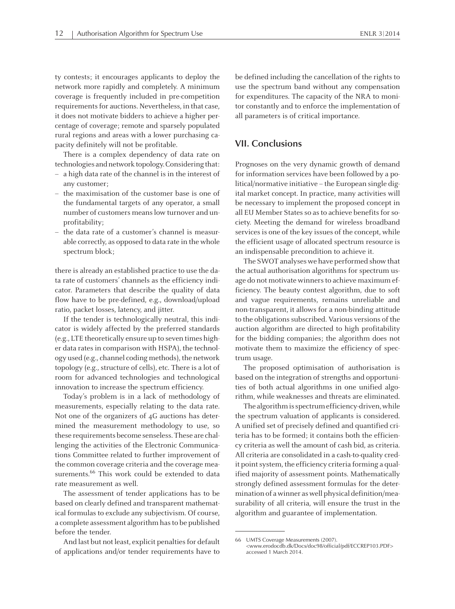ty contests; it encourages applicants to deploy the network more rapidly and completely. <sup>A</sup> minimum coverage is frequently included in pre-competition requirements for auctions. Nevertheless, in that case, it does not motivate bidders to achieve <sup>a</sup> higher percentage of coverage; remote and sparsely populated rural regions and areas with <sup>a</sup> lower purchasing capacity definitely will not be profitable.

There is <sup>a</sup> complex dependency of data rate on technologies and network topology. Considering that:

- <sup>a</sup> high data rate of the channel is in the interest of any customer;
- the maximisation of the customer base is one of the fundamental targets of any operator, <sup>a</sup> small number of customers means low turnover and unprofitability;
- the data rate of <sup>a</sup> customer's channel is measurable correctly, as opposed to data rate in the whole spectrum block;

there is already an established practice to use the data rate of customers' channels as the efficiency indicator. Parameters that describe the quality of data flow have to be pre-defined, e.g., download/upload ratio, packet losses, latency, and jitter.

If the tender is technologically neutral, this indicator is widely affected by the preferred standards (e.g., LTE theoretically ensure up to seven times higher data rates in comparison with HSPA), the technology used (e.g., channel codingmethods), the network topology (e.g., structure of cells), etc. There is <sup>a</sup> lot of room for advanced technologies and technological innovation to increase the spectrum efficiency.

Today's problem is in <sup>a</sup> lack of methodology of measurements, especially relating to the data rate. Not one of the organizers of 4<sup>G</sup> auctions has determined the measurement methodology to use, so these requirements become senseless. These are challenging the activities of the Electronic Communications Committee related to further improvement of the common coverage criteria and the coverage measurements.<sup>66</sup> This work could be extended to data rate measurement as well.

The assessment of tender applications has to be based on clearly defined and transparent mathematical formulas to exclude any subjectivism. Of course, <sup>a</sup> complete assessment algorithmhasto be published before the tender.

And last but not least, explicit penalties for default of applications and/or tender requirements have to be defined including the cancellation of the rights to use the spectrum band without any compensation for expenditures. The capacity of the NRA to monitor constantly and to enforce the implementation of all parameters is of critical importance.

#### **VII. Conclusions**

Prognoses on the very dynamic growth of demand for information services have been followed by <sup>a</sup> political/normative initiative – the European single digital market concept. In practice, many activities will be necessary to implement the proposed concep<sup>t</sup> in all EU Member States so as to achieve benefits for society. Meeting the demand for wireless broadband services is one of the key issues of the concept, while the efficient usage of allocated spectrum resource is an indispensable precondition to achieve it.

The SWOT analyses we have performed show that the actual authorisation algorithms for spectrum usage do not motivate winners to achieve maximum efficiency. The beauty contest algorithm, due to soft and vague requirements, remains unreliable and non-transparent, it allows for <sup>a</sup> non-binding attitude to the obligations subscribed. Various versions of the auction algorithm are directed to high profitability for the bidding companies; the algorithm does not motivate them to maximize the efficiency of spectrum usage.

The proposed optimisation of authorisation is based on the integration of strengths and opportunities of both actual algorithms in one unified algorithm, while weaknesses and threats are eliminated.

The algorithm is spectrum efficiency-driven, while the spectrum valuation of applicants is considered. <sup>A</sup> unified set of precisely defined and quantified criteria has to be formed; it contains both the efficiency criteria as well the amount of cash bid, as criteria. All criteria are consolidated in <sup>a</sup> cash-to-quality credit point system, the efficiency criteria forming a qualified majority of assessment points. Mathematically strongly defined assessment formulas for the determination of awinner aswell physical definition/measurability of all criteria, will ensure the trust in the algorithm and guarantee of implementation.

<sup>66</sup> UMTS Coverage Measurements (2007). <www.erodocdb.dk/Docs/doc98/official/pdf/ECCREP103.PDF> accessed 1 March 2014.